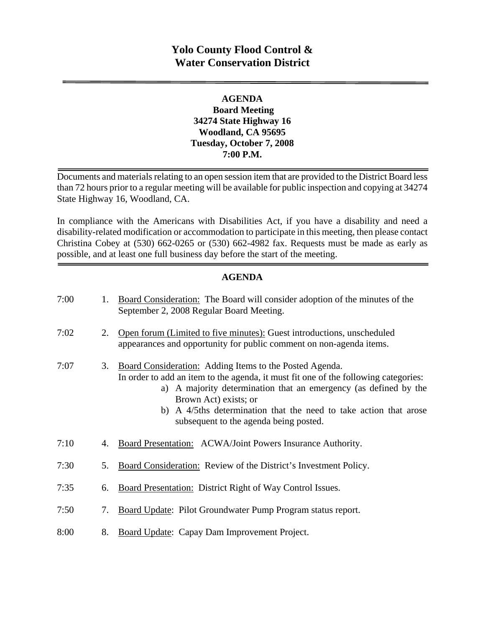# **Yolo County Flood Control & Water Conservation District**

# **AGENDA Board Meeting 34274 State Highway 16 Woodland, CA 95695 Tuesday, October 7, 2008 7:00 P.M.**

Documents and materials relating to an open session item that are provided to the District Board less than 72 hours prior to a regular meeting will be available for public inspection and copying at 34274 State Highway 16, Woodland, CA.

In compliance with the Americans with Disabilities Act, if you have a disability and need a disability-related modification or accommodation to participate in this meeting, then please contact Christina Cobey at (530) 662-0265 or (530) 662-4982 fax. Requests must be made as early as possible, and at least one full business day before the start of the meeting.

# **AGENDA**

| 7:00 | 1. | Board Consideration: The Board will consider adoption of the minutes of the<br>September 2, 2008 Regular Board Meeting.                                                                                                                                                                                                                                    |
|------|----|------------------------------------------------------------------------------------------------------------------------------------------------------------------------------------------------------------------------------------------------------------------------------------------------------------------------------------------------------------|
| 7:02 | 2. | Open forum (Limited to five minutes): Guest introductions, unscheduled<br>appearances and opportunity for public comment on non-agenda items.                                                                                                                                                                                                              |
| 7:07 | 3. | Board Consideration: Adding Items to the Posted Agenda.<br>In order to add an item to the agenda, it must fit one of the following categories:<br>a) A majority determination that an emergency (as defined by the<br>Brown Act) exists; or<br>b) A 4/5ths determination that the need to take action that arose<br>subsequent to the agenda being posted. |
| 7:10 | 4. | Board Presentation: ACWA/Joint Powers Insurance Authority.                                                                                                                                                                                                                                                                                                 |
| 7:30 | 5. | <b>Board Consideration:</b> Review of the District's Investment Policy.                                                                                                                                                                                                                                                                                    |
| 7:35 | 6. | Board Presentation: District Right of Way Control Issues.                                                                                                                                                                                                                                                                                                  |
| 7:50 | 7. | Board Update: Pilot Groundwater Pump Program status report.                                                                                                                                                                                                                                                                                                |
| 8:00 | 8. | Board Update: Capay Dam Improvement Project.                                                                                                                                                                                                                                                                                                               |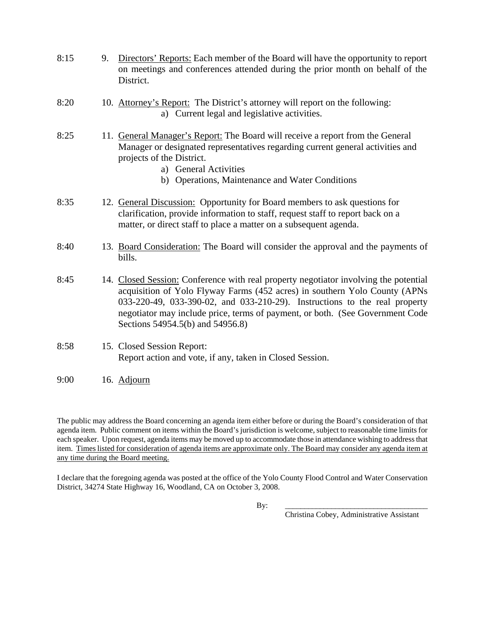- 8:15 9. Directors' Reports: Each member of the Board will have the opportunity to report on meetings and conferences attended during the prior month on behalf of the District.
- 8:20 10. Attorney's Report: The District's attorney will report on the following: a) Current legal and legislative activities.
- 8:25 11. General Manager's Report: The Board will receive a report from the General Manager or designated representatives regarding current general activities and projects of the District.
	- a) General Activities
	- b) Operations, Maintenance and Water Conditions
- 8:35 12. General Discussion: Opportunity for Board members to ask questions for clarification, provide information to staff, request staff to report back on a matter, or direct staff to place a matter on a subsequent agenda.
- 8:40 13. Board Consideration: The Board will consider the approval and the payments of bills.
- 8:45 14. Closed Session: Conference with real property negotiator involving the potential acquisition of Yolo Flyway Farms (452 acres) in southern Yolo County (APNs 033-220-49, 033-390-02, and 033-210-29). Instructions to the real property negotiator may include price, terms of payment, or both. (See Government Code Sections 54954.5(b) and 54956.8)
- 8:58 15. Closed Session Report: Report action and vote, if any, taken in Closed Session.
- 9:00 16. Adjourn

The public may address the Board concerning an agenda item either before or during the Board's consideration of that agenda item. Public comment on items within the Board's jurisdiction is welcome, subject to reasonable time limits for each speaker. Upon request, agenda items may be moved up to accommodate those in attendance wishing to address that item. Times listed for consideration of agenda items are approximate only. The Board may consider any agenda item at any time during the Board meeting.

I declare that the foregoing agenda was posted at the office of the Yolo County Flood Control and Water Conservation District, 34274 State Highway 16, Woodland, CA on October 3, 2008.

By: \_\_\_\_\_\_\_\_\_\_\_\_\_\_\_\_\_\_\_\_\_\_\_\_\_\_\_\_\_\_\_\_\_\_\_\_\_

Christina Cobey, Administrative Assistant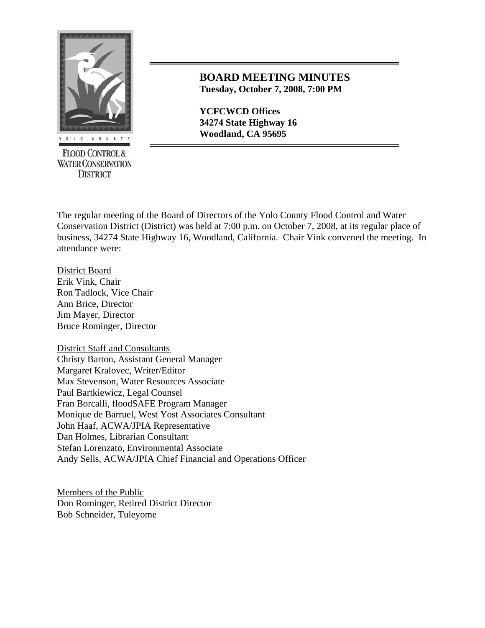

**FLOOD CONTROL & WATER CONSERVATION DISTRICT** 

# **BOARD MEETING MINUTES Tuesday, October 7, 2008, 7:00 PM**

**YCFCWCD Offices 34274 State Highway 16 Woodland, CA 95695** 

The regular meeting of the Board of Directors of the Yolo County Flood Control and Water Conservation District (District) was held at 7:00 p.m. on October 7, 2008, at its regular place of business, 34274 State Highway 16, Woodland, California. Chair Vink convened the meeting. In attendance were:

District Board Erik Vink, Chair Ron Tadlock, Vice Chair Ann Brice, Director Jim Mayer, Director Bruce Rominger, Director

District Staff and Consultants Christy Barton, Assistant General Manager Margaret Kralovec, Writer/Editor Max Stevenson, Water Resources Associate Paul Bartkiewicz, Legal Counsel Fran Borcalli, floodSAFE Program Manager Monique de Barruel, West Yost Associates Consultant John Haaf, ACWA/JPIA Representative Dan Holmes, Librarian Consultant Stefan Lorenzato, Environmental Associate Andy Sells, ACWA/JPIA Chief Financial and Operations Officer

Members of the Public Don Rominger, Retired District Director Bob Schneider, Tuleyome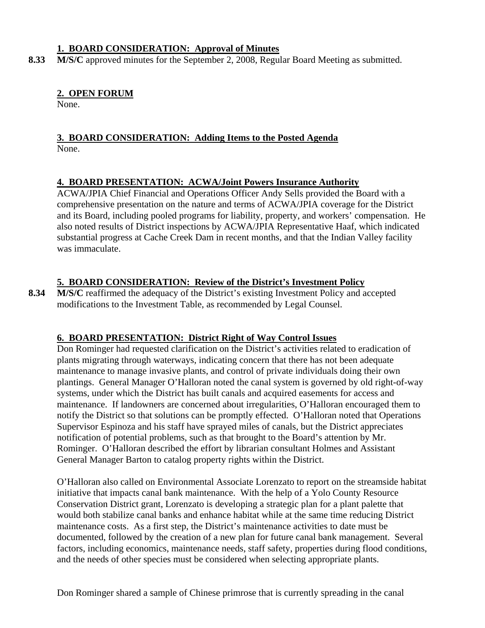# **1. BOARD CONSIDERATION: Approval of Minutes**

8.33 M/S/C approved minutes for the September 2, 2008, Regular Board Meeting as submitted.

# **2. OPEN FORUM**

None.

#### **3. BOARD CONSIDERATION: Adding Items to the Posted Agenda** None.

# **4. BOARD PRESENTATION: ACWA/Joint Powers Insurance Authority**

ACWA/JPIA Chief Financial and Operations Officer Andy Sells provided the Board with a comprehensive presentation on the nature and terms of ACWA/JPIA coverage for the District and its Board, including pooled programs for liability, property, and workers' compensation. He also noted results of District inspections by ACWA/JPIA Representative Haaf, which indicated substantial progress at Cache Creek Dam in recent months, and that the Indian Valley facility was immaculate.

# **5. BOARD CONSIDERATION: Review of the District's Investment Policy**

8.34 M/S/C reaffirmed the adequacy of the District's existing Investment Policy and accepted modifications to the Investment Table, as recommended by Legal Counsel.

# **6. BOARD PRESENTATION: District Right of Way Control Issues**

Don Rominger had requested clarification on the District's activities related to eradication of plants migrating through waterways, indicating concern that there has not been adequate maintenance to manage invasive plants, and control of private individuals doing their own plantings. General Manager O'Halloran noted the canal system is governed by old right-of-way systems, under which the District has built canals and acquired easements for access and maintenance. If landowners are concerned about irregularities, O'Halloran encouraged them to notify the District so that solutions can be promptly effected. O'Halloran noted that Operations Supervisor Espinoza and his staff have sprayed miles of canals, but the District appreciates notification of potential problems, such as that brought to the Board's attention by Mr. Rominger. O'Halloran described the effort by librarian consultant Holmes and Assistant General Manager Barton to catalog property rights within the District.

O'Halloran also called on Environmental Associate Lorenzato to report on the streamside habitat initiative that impacts canal bank maintenance. With the help of a Yolo County Resource Conservation District grant, Lorenzato is developing a strategic plan for a plant palette that would both stabilize canal banks and enhance habitat while at the same time reducing District maintenance costs. As a first step, the District's maintenance activities to date must be documented, followed by the creation of a new plan for future canal bank management. Several factors, including economics, maintenance needs, staff safety, properties during flood conditions, and the needs of other species must be considered when selecting appropriate plants.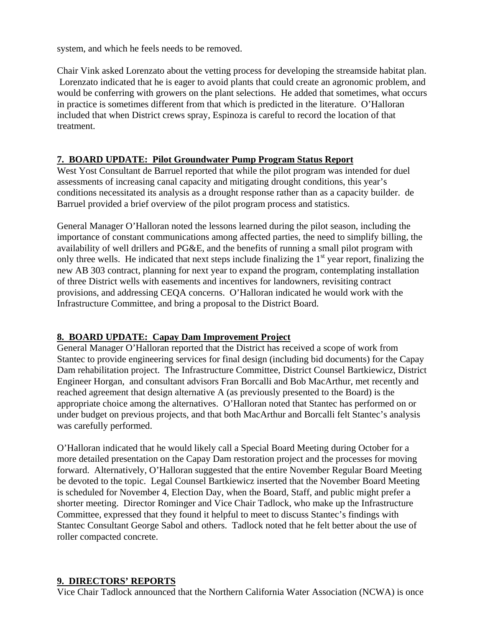system, and which he feels needs to be removed.

Chair Vink asked Lorenzato about the vetting process for developing the streamside habitat plan. Lorenzato indicated that he is eager to avoid plants that could create an agronomic problem, and would be conferring with growers on the plant selections. He added that sometimes, what occurs in practice is sometimes different from that which is predicted in the literature. O'Halloran included that when District crews spray, Espinoza is careful to record the location of that treatment.

# **7. BOARD UPDATE: Pilot Groundwater Pump Program Status Report**

West Yost Consultant de Barruel reported that while the pilot program was intended for duel assessments of increasing canal capacity and mitigating drought conditions, this year's conditions necessitated its analysis as a drought response rather than as a capacity builder. de Barruel provided a brief overview of the pilot program process and statistics.

General Manager O'Halloran noted the lessons learned during the pilot season, including the importance of constant communications among affected parties, the need to simplify billing, the availability of well drillers and PG&E, and the benefits of running a small pilot program with only three wells. He indicated that next steps include finalizing the 1<sup>st</sup> year report, finalizing the new AB 303 contract, planning for next year to expand the program, contemplating installation of three District wells with easements and incentives for landowners, revisiting contract provisions, and addressing CEQA concerns. O'Halloran indicated he would work with the Infrastructure Committee, and bring a proposal to the District Board.

# **8. BOARD UPDATE: Capay Dam Improvement Project**

General Manager O'Halloran reported that the District has received a scope of work from Stantec to provide engineering services for final design (including bid documents) for the Capay Dam rehabilitation project. The Infrastructure Committee, District Counsel Bartkiewicz, District Engineer Horgan, and consultant advisors Fran Borcalli and Bob MacArthur, met recently and reached agreement that design alternative A (as previously presented to the Board) is the appropriate choice among the alternatives. O'Halloran noted that Stantec has performed on or under budget on previous projects, and that both MacArthur and Borcalli felt Stantec's analysis was carefully performed.

O'Halloran indicated that he would likely call a Special Board Meeting during October for a more detailed presentation on the Capay Dam restoration project and the processes for moving forward. Alternatively, O'Halloran suggested that the entire November Regular Board Meeting be devoted to the topic. Legal Counsel Bartkiewicz inserted that the November Board Meeting is scheduled for November 4, Election Day, when the Board, Staff, and public might prefer a shorter meeting. Director Rominger and Vice Chair Tadlock, who make up the Infrastructure Committee, expressed that they found it helpful to meet to discuss Stantec's findings with Stantec Consultant George Sabol and others. Tadlock noted that he felt better about the use of roller compacted concrete.

# **9. DIRECTORS' REPORTS**

Vice Chair Tadlock announced that the Northern California Water Association (NCWA) is once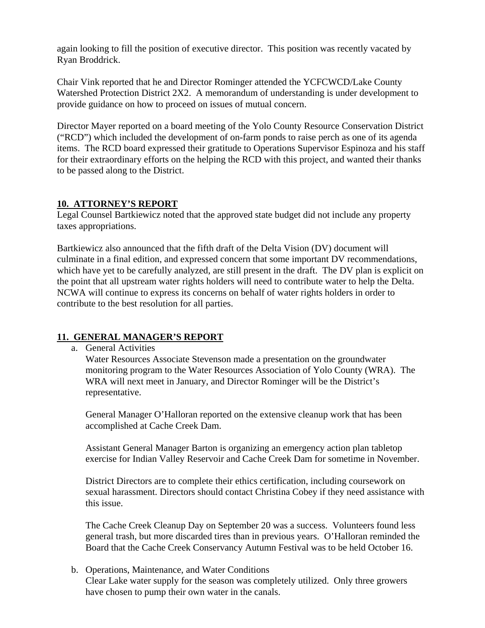again looking to fill the position of executive director. This position was recently vacated by Ryan Broddrick.

Chair Vink reported that he and Director Rominger attended the YCFCWCD/Lake County Watershed Protection District 2X2. A memorandum of understanding is under development to provide guidance on how to proceed on issues of mutual concern.

Director Mayer reported on a board meeting of the Yolo County Resource Conservation District ("RCD") which included the development of on-farm ponds to raise perch as one of its agenda items. The RCD board expressed their gratitude to Operations Supervisor Espinoza and his staff for their extraordinary efforts on the helping the RCD with this project, and wanted their thanks to be passed along to the District.

### **10. ATTORNEY'S REPORT**

Legal Counsel Bartkiewicz noted that the approved state budget did not include any property taxes appropriations.

Bartkiewicz also announced that the fifth draft of the Delta Vision (DV) document will culminate in a final edition, and expressed concern that some important DV recommendations, which have yet to be carefully analyzed, are still present in the draft. The DV plan is explicit on the point that all upstream water rights holders will need to contribute water to help the Delta. NCWA will continue to express its concerns on behalf of water rights holders in order to contribute to the best resolution for all parties.

# **11. GENERAL MANAGER'S REPORT**

a. General Activities

Water Resources Associate Stevenson made a presentation on the groundwater monitoring program to the Water Resources Association of Yolo County (WRA). The WRA will next meet in January, and Director Rominger will be the District's representative.

General Manager O'Halloran reported on the extensive cleanup work that has been accomplished at Cache Creek Dam.

Assistant General Manager Barton is organizing an emergency action plan tabletop exercise for Indian Valley Reservoir and Cache Creek Dam for sometime in November.

District Directors are to complete their ethics certification, including coursework on sexual harassment. Directors should contact Christina Cobey if they need assistance with this issue.

The Cache Creek Cleanup Day on September 20 was a success. Volunteers found less general trash, but more discarded tires than in previous years. O'Halloran reminded the Board that the Cache Creek Conservancy Autumn Festival was to be held October 16.

b. Operations, Maintenance, and Water Conditions

Clear Lake water supply for the season was completely utilized. Only three growers have chosen to pump their own water in the canals.